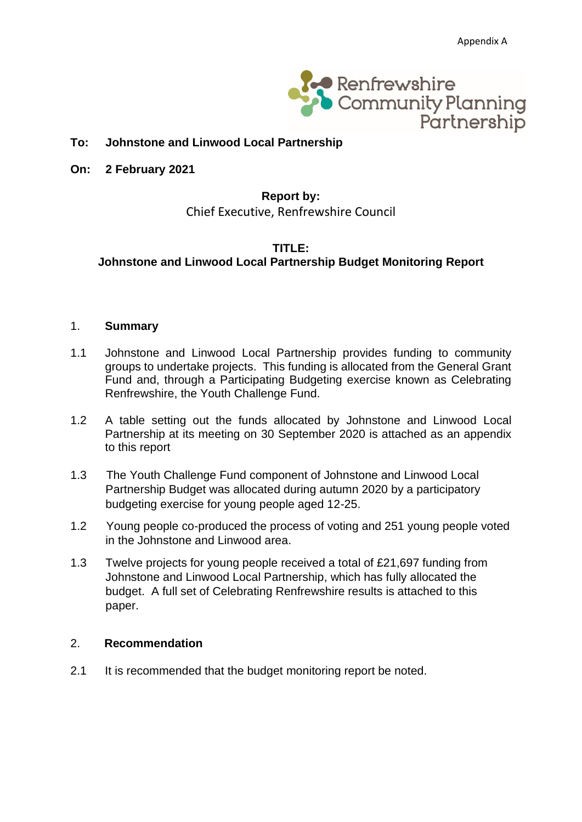

#### **To: Johnstone and Linwood Local Partnership**

**On: 2 February 2021**

#### **Report by:** Chief Executive, Renfrewshire Council

#### **TITLE: Johnstone and Linwood Local Partnership Budget Monitoring Report**

#### 1. **Summary**

- 1.1 Johnstone and Linwood Local Partnership provides funding to community groups to undertake projects. This funding is allocated from the General Grant Fund and, through a Participating Budgeting exercise known as Celebrating Renfrewshire, the Youth Challenge Fund.
- 1.2 A table setting out the funds allocated by Johnstone and Linwood Local Partnership at its meeting on 30 September 2020 is attached as an appendix to this report
- 1.3 The Youth Challenge Fund component of Johnstone and Linwood Local Partnership Budget was allocated during autumn 2020 by a participatory budgeting exercise for young people aged 12-25.
- 1.2 Young people co-produced the process of voting and 251 young people voted in the Johnstone and Linwood area.
- 1.3 Twelve projects for young people received a total of £21,697 funding from Johnstone and Linwood Local Partnership, which has fully allocated the budget. A full set of Celebrating Renfrewshire results is attached to this paper.

#### 2. **Recommendation**

2.1 It is recommended that the budget monitoring report be noted.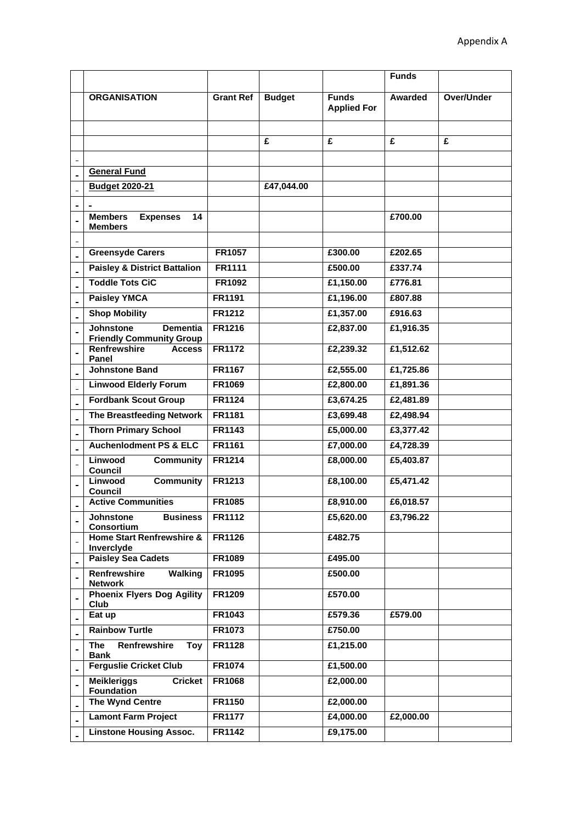|                                                                        |                  |               |                                    | <b>Funds</b>   |            |
|------------------------------------------------------------------------|------------------|---------------|------------------------------------|----------------|------------|
| <b>ORGANISATION</b>                                                    | <b>Grant Ref</b> | <b>Budget</b> | <b>Funds</b><br><b>Applied For</b> | <b>Awarded</b> | Over/Under |
|                                                                        |                  |               |                                    |                |            |
|                                                                        |                  | £             | £                                  | £              | £          |
|                                                                        |                  |               |                                    |                |            |
| <b>General Fund</b>                                                    |                  |               |                                    |                |            |
| <b>Budget 2020-21</b>                                                  |                  | £47,044.00    |                                    |                |            |
|                                                                        |                  |               |                                    |                |            |
| <b>Members</b><br><b>Expenses</b><br>14<br><b>Members</b>              |                  |               |                                    | £700.00        |            |
|                                                                        |                  |               |                                    |                |            |
| <b>Greensyde Carers</b>                                                | <b>FR1057</b>    |               | £300.00                            | £202.65        |            |
| <b>Paisley &amp; District Battalion</b>                                | <b>FR1111</b>    |               | £500.00                            | £337.74        |            |
| <b>Toddle Tots CiC</b>                                                 | FR1092           |               | £1,150.00                          | £776.81        |            |
| <b>Paisley YMCA</b>                                                    | FR1191           |               | £1,196.00                          | £807.88        |            |
| <b>Shop Mobility</b>                                                   | <b>FR1212</b>    |               | £1,357.00                          | £916.63        |            |
| <b>Johnstone</b><br><b>Dementia</b><br><b>Friendly Community Group</b> | FR1216           |               | £2,837.00                          | £1,916.35      |            |
| Renfrewshire<br><b>Access</b><br>Panel                                 | <b>FR1172</b>    |               | £2,239.32                          | £1,512.62      |            |
| <b>Johnstone Band</b>                                                  | <b>FR1167</b>    |               | £2,555.00                          | £1,725.86      |            |
| <b>Linwood Elderly Forum</b>                                           | FR1069           |               | £2,800.00                          | £1,891.36      |            |
| <b>Fordbank Scout Group</b>                                            | <b>FR1124</b>    |               | £3,674.25                          | £2,481.89      |            |
| The Breastfeeding Network                                              | <b>FR1181</b>    |               | £3,699.48                          | £2,498.94      |            |
| <b>Thorn Primary School</b>                                            | <b>FR1143</b>    |               | £5,000.00                          | £3,377.42      |            |
| <b>Auchenlodment PS &amp; ELC</b>                                      | FR1161           |               | £7,000.00                          | £4,728.39      |            |
| Linwood<br><b>Community</b><br>Council                                 | <b>FR1214</b>    |               | £8,000.00                          | £5,403.87      |            |
| Linwood<br><b>Community</b><br>Council                                 | FR1213           |               | £8,100.00                          | £5,471.42      |            |
| <b>Active Communities</b>                                              | <b>FR1085</b>    |               | £8,910.00                          | £6,018.57      |            |
| Johnstone<br><b>Business</b><br>Consortium                             | FR1112           |               | £5,620.00                          | £3,796.22      |            |
| <b>Home Start Renfrewshire &amp;</b><br>Inverclyde                     | FR1126           |               | £482.75                            |                |            |
| <b>Paisley Sea Cadets</b>                                              | FR1089           |               | £495.00                            |                |            |
| Renfrewshire<br><b>Walking</b><br><b>Network</b>                       | FR1095           |               | £500.00                            |                |            |
| <b>Phoenix Flyers Dog Agility</b><br>Club                              | FR1209           |               | £570.00                            |                |            |
| Eat up                                                                 | FR1043           |               | £579.36                            | £579.00        |            |
| <b>Rainbow Turtle</b>                                                  | FR1073           |               | £750.00                            |                |            |
| Renfrewshire<br>The<br>Toy<br><b>Bank</b>                              | FR1128           |               | £1,215.00                          |                |            |
| <b>Ferguslie Cricket Club</b>                                          | FR1074           |               | £1,500.00                          |                |            |
| <b>Meikleriggs</b><br><b>Cricket</b><br><b>Foundation</b>              | FR1068           |               | £2,000.00                          |                |            |
| <b>The Wynd Centre</b>                                                 | FR1150           |               | £2,000.00                          |                |            |
| <b>Lamont Farm Project</b>                                             | <b>FR1177</b>    |               | £4,000.00                          | £2,000.00      |            |
| <b>Linstone Housing Assoc.</b>                                         | FR1142           |               | £9,175.00                          |                |            |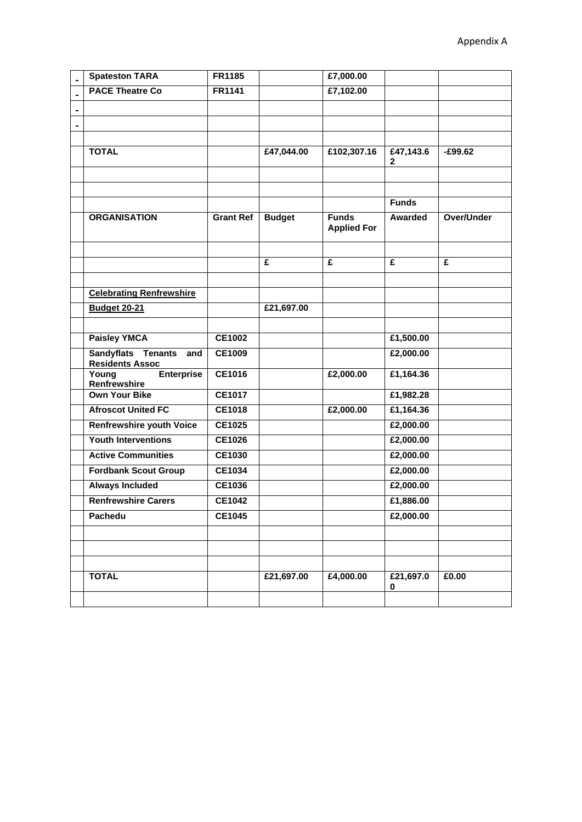|    | <b>Spateston TARA</b>                                      | FR1185           |               | £7,000.00                          |                |            |
|----|------------------------------------------------------------|------------------|---------------|------------------------------------|----------------|------------|
|    | <b>PACE Theatre Co</b>                                     | FR1141           |               | £7,102.00                          |                |            |
| ä, |                                                            |                  |               |                                    |                |            |
|    |                                                            |                  |               |                                    |                |            |
|    |                                                            |                  |               |                                    |                |            |
|    | <b>TOTAL</b>                                               |                  | £47,044.00    | £102,307.16                        | £47,143.6<br>2 | $-£99.62$  |
|    |                                                            |                  |               |                                    |                |            |
|    |                                                            |                  |               |                                    |                |            |
|    |                                                            |                  |               |                                    | <b>Funds</b>   |            |
|    | <b>ORGANISATION</b>                                        | <b>Grant Ref</b> | <b>Budget</b> | <b>Funds</b><br><b>Applied For</b> | Awarded        | Over/Under |
|    |                                                            |                  |               |                                    |                |            |
|    |                                                            |                  | £             | £                                  | £              | £          |
|    |                                                            |                  |               |                                    |                |            |
|    | <b>Celebrating Renfrewshire</b>                            |                  |               |                                    |                |            |
|    | <b>Budget 20-21</b>                                        |                  | £21,697.00    |                                    |                |            |
|    |                                                            |                  |               |                                    |                |            |
|    | <b>Paisley YMCA</b>                                        | CE1002           |               |                                    | £1,500.00      |            |
|    | <b>Sandyflats Tenants</b><br>and<br><b>Residents Assoc</b> | <b>CE1009</b>    |               |                                    | £2,000.00      |            |
|    | Young<br><b>Enterprise</b><br>Renfrewshire                 | CE1016           |               | £2,000.00                          | £1,164.36      |            |
|    | <b>Own Your Bike</b>                                       | CE1017           |               |                                    | £1,982.28      |            |
|    | <b>Afroscot United FC</b>                                  | <b>CE1018</b>    |               | £2,000.00                          | £1,164.36      |            |
|    | <b>Renfrewshire youth Voice</b>                            | <b>CE1025</b>    |               |                                    | £2,000.00      |            |
|    | <b>Youth Interventions</b>                                 | <b>CE1026</b>    |               |                                    | £2,000.00      |            |
|    | <b>Active Communities</b>                                  | <b>CE1030</b>    |               |                                    | £2,000.00      |            |
|    | <b>Fordbank Scout Group</b>                                | CE1034           |               |                                    | £2,000.00      |            |
|    | <b>Always Included</b>                                     | CE1036           |               |                                    | £2,000.00      |            |
|    | <b>Renfrewshire Carers</b>                                 | <b>CE1042</b>    |               |                                    | £1,886.00      |            |
|    | Pachedu                                                    | CE1045           |               |                                    | £2,000.00      |            |
|    |                                                            |                  |               |                                    |                |            |
|    |                                                            |                  |               |                                    |                |            |
|    |                                                            |                  |               |                                    |                |            |
|    | <b>TOTAL</b>                                               |                  | £21,697.00    | £4,000.00                          | £21,697.0<br>0 | £0.00      |
|    |                                                            |                  |               |                                    |                |            |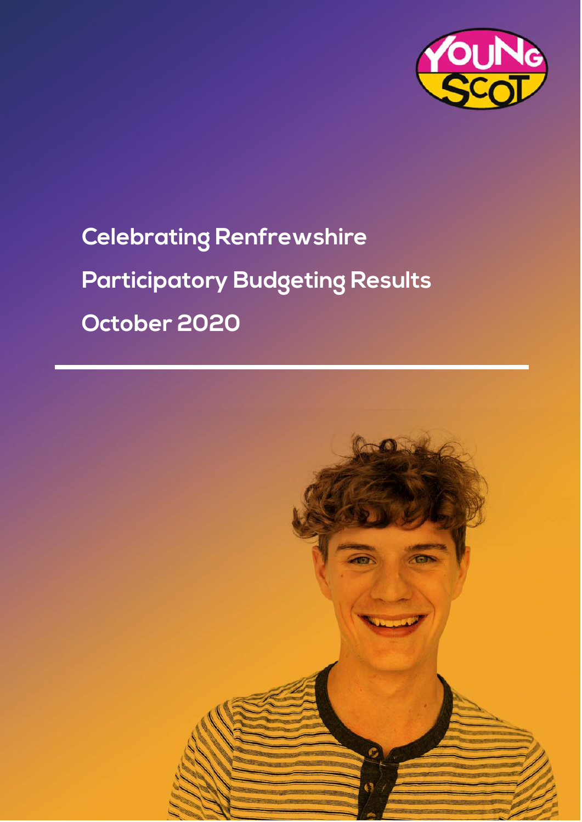

# **Celebrating Renfrewshire Participatory Budgeting Results October 2020**

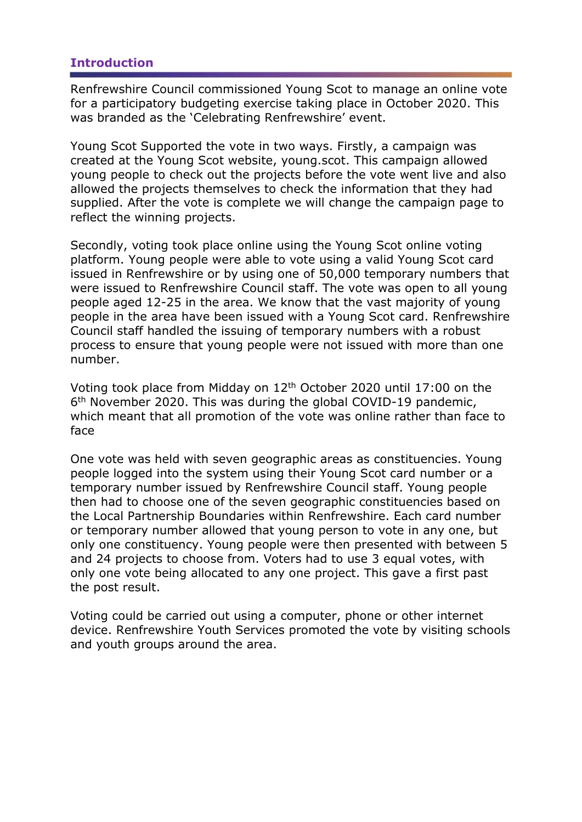#### **Introduction**

Renfrewshire Council commissioned Young Scot to manage an online vote for a participatory budgeting exercise taking place in October 2020. This was branded as the 'Celebrating Renfrewshire' event.

Young Scot Supported the vote in two ways. Firstly, a campaign was created at the Young Scot website, young.scot. This campaign allowed young people to check out the projects before the vote went live and also allowed the projects themselves to check the information that they had supplied. After the vote is complete we will change the campaign page to reflect the winning projects.

Secondly, voting took place online using the Young Scot online voting platform. Young people were able to vote using a valid Young Scot card issued in Renfrewshire or by using one of 50,000 temporary numbers that were issued to Renfrewshire Council staff. The vote was open to all young people aged 12-25 in the area. We know that the vast majority of young people in the area have been issued with a Young Scot card. Renfrewshire Council staff handled the issuing of temporary numbers with a robust process to ensure that young people were not issued with more than one number.

Voting took place from Midday on 12th October 2020 until 17:00 on the 6 th November 2020. This was during the global COVID-19 pandemic, which meant that all promotion of the vote was online rather than face to face

One vote was held with seven geographic areas as constituencies. Young people logged into the system using their Young Scot card number or a temporary number issued by Renfrewshire Council staff. Young people then had to choose one of the seven geographic constituencies based on the Local Partnership Boundaries within Renfrewshire. Each card number or temporary number allowed that young person to vote in any one, but only one constituency. Young people were then presented with between 5 and 24 projects to choose from. Voters had to use 3 equal votes, with only one vote being allocated to any one project. This gave a first past the post result.

Voting could be carried out using a computer, phone or other internet device. Renfrewshire Youth Services promoted the vote by visiting schools and youth groups around the area.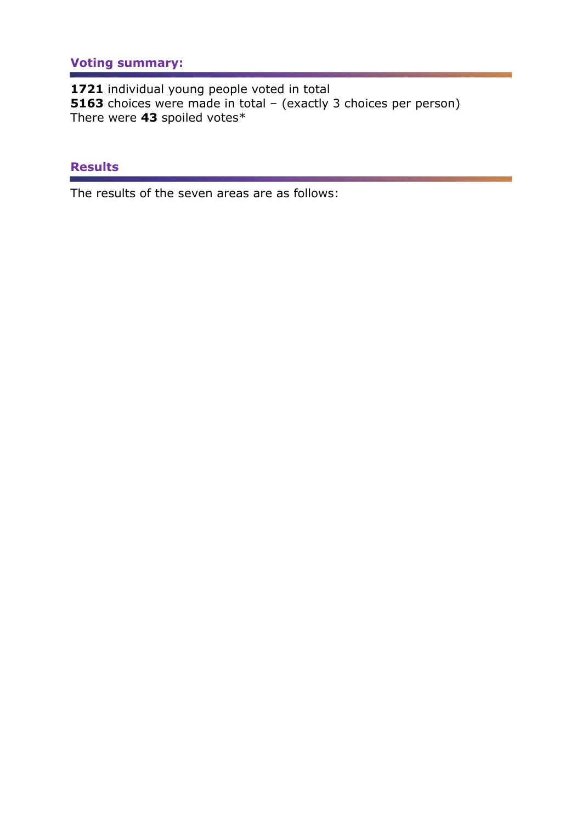# **Voting summary:**

**1721** individual young people voted in total **5163** choices were made in total – (exactly 3 choices per person) There were **43** spoiled votes\*

#### **Results**

The results of the seven areas are as follows: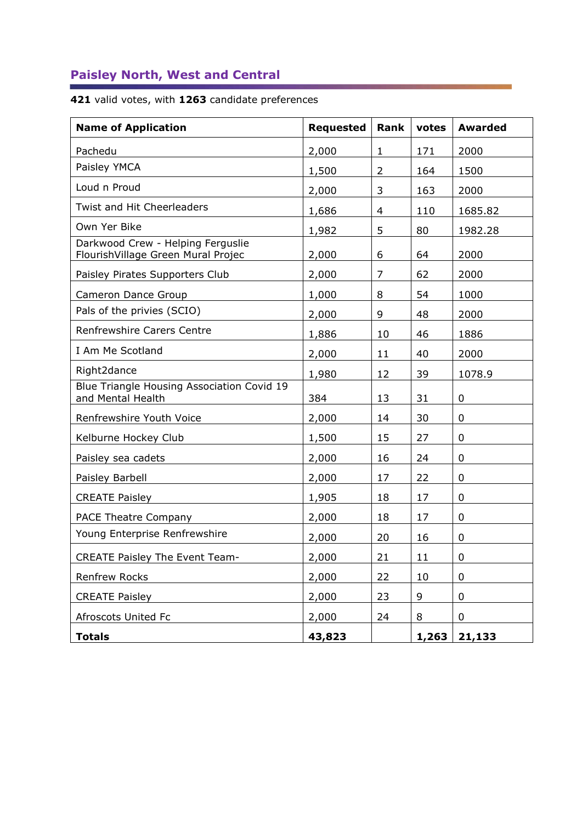# **Paisley North, West and Central**

## **421** valid votes, with **1263** candidate preferences

| <b>Name of Application</b>                                              | <b>Requested</b> | <b>Rank</b>    | votes  | <b>Awarded</b> |
|-------------------------------------------------------------------------|------------------|----------------|--------|----------------|
| Pachedu                                                                 | 2,000            | $\mathbf{1}$   | 171    | 2000           |
| Paisley YMCA                                                            | 1,500            | $\overline{2}$ | 164    | 1500           |
| Loud n Proud                                                            | 2,000            | 3              | 163    | 2000           |
| Twist and Hit Cheerleaders                                              | 1,686            | 4              | 110    | 1685.82        |
| Own Yer Bike                                                            | 1,982            | 5              | 80     | 1982.28        |
| Darkwood Crew - Helping Ferguslie<br>FlourishVillage Green Mural Projec | 2,000            | 6              | 64     | 2000           |
| Paisley Pirates Supporters Club                                         | 2,000            | 7              | 62     | 2000           |
| Cameron Dance Group                                                     | 1,000            | 8              | 54     | 1000           |
| Pals of the privies (SCIO)                                              | 2,000            | 9              | 48     | 2000           |
| <b>Renfrewshire Carers Centre</b>                                       | 1,886            | 10             | 46     | 1886           |
| I Am Me Scotland                                                        | 2,000            | 11             | 40     | 2000           |
| Right2dance                                                             | 1,980            | 12             | 39     | 1078.9         |
| Blue Triangle Housing Association Covid 19<br>and Mental Health         | 384              | 13             | 31     | 0              |
| Renfrewshire Youth Voice                                                | 2,000            | 14             | 30     | $\mathbf 0$    |
| Kelburne Hockey Club                                                    | 1,500            | 15             | 27     | 0              |
| Paisley sea cadets                                                      | 2,000            | 16             | 24     | 0              |
| Paisley Barbell                                                         | 2,000            | 17             | 22     | 0              |
| <b>CREATE Paisley</b>                                                   | 1,905            | 18             | 17     | 0              |
| <b>PACE Theatre Company</b>                                             | 2,000            | 18             | 17     | $\mathbf 0$    |
| Young Enterprise Renfrewshire                                           | 2,000            | 20             | 16     | 0              |
| <b>CREATE Paisley The Event Team-</b>                                   | 2,000            | 21             | $11\,$ | 0              |
| Renfrew Rocks                                                           | 2,000            | 22             | 10     | 0              |
| <b>CREATE Paisley</b>                                                   | 2,000            | 23             | 9      | 0              |
| Afroscots United Fc                                                     | 2,000            | 24             | 8      | 0              |
| <b>Totals</b>                                                           | 43,823           |                | 1,263  | 21,133         |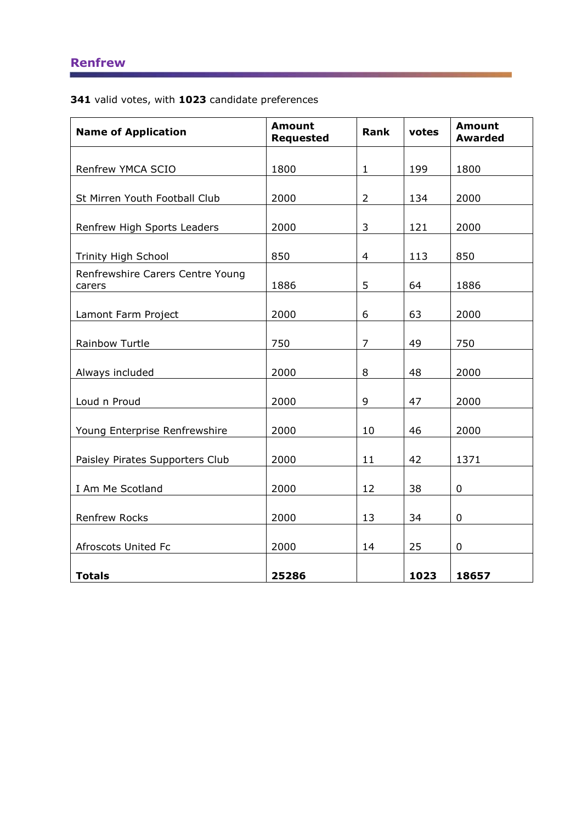**341** valid votes, with **1023** candidate preferences

| <b>Name of Application</b>                 | <b>Amount</b><br><b>Requested</b> | <b>Rank</b>    | votes | <b>Amount</b><br><b>Awarded</b> |
|--------------------------------------------|-----------------------------------|----------------|-------|---------------------------------|
| Renfrew YMCA SCIO                          | 1800                              | $\mathbf{1}$   | 199   | 1800                            |
| St Mirren Youth Football Club              | 2000                              | $\overline{2}$ | 134   | 2000                            |
| Renfrew High Sports Leaders                | 2000                              | 3              | 121   | 2000                            |
| Trinity High School                        | 850                               | $\overline{4}$ | 113   | 850                             |
| Renfrewshire Carers Centre Young<br>carers | 1886                              | 5              | 64    | 1886                            |
| Lamont Farm Project                        | 2000                              | 6              | 63    | 2000                            |
| Rainbow Turtle                             | 750                               | $\overline{7}$ | 49    | 750                             |
| Always included                            | 2000                              | 8              | 48    | 2000                            |
| Loud n Proud                               | 2000                              | 9              | 47    | 2000                            |
| Young Enterprise Renfrewshire              | 2000                              | 10             | 46    | 2000                            |
| Paisley Pirates Supporters Club            | 2000                              | 11             | 42    | 1371                            |
| I Am Me Scotland                           | 2000                              | 12             | 38    | $\mathbf 0$                     |
| <b>Renfrew Rocks</b>                       | 2000                              | 13             | 34    | 0                               |
| Afroscots United Fc                        | 2000                              | 14             | 25    | 0                               |
| <b>Totals</b>                              | 25286                             |                | 1023  | 18657                           |

a sa kacamatan ing Kabupatèn Kabupatèn Ing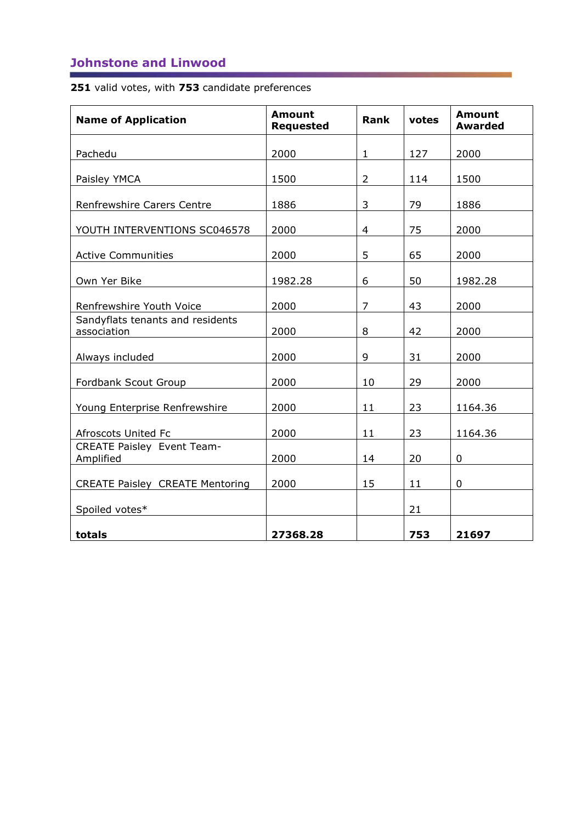## **Johnstone and Linwood**

**251** valid votes, with **753** candidate preferences

| <b>Name of Application</b>                      | <b>Amount</b><br><b>Requested</b> | <b>Rank</b>    | votes | <b>Amount</b><br><b>Awarded</b> |
|-------------------------------------------------|-----------------------------------|----------------|-------|---------------------------------|
| Pachedu                                         | 2000                              | $\mathbf{1}$   | 127   | 2000                            |
| Paisley YMCA                                    | 1500                              | $\overline{2}$ | 114   | 1500                            |
| Renfrewshire Carers Centre                      | 1886                              | 3              | 79    | 1886                            |
| YOUTH INTERVENTIONS SC046578                    | 2000                              | $\overline{4}$ | 75    | 2000                            |
| <b>Active Communities</b>                       | 2000                              | 5              | 65    | 2000                            |
| Own Yer Bike                                    | 1982.28                           | 6              | 50    | 1982.28                         |
| Renfrewshire Youth Voice                        | 2000                              | $\overline{7}$ | 43    | 2000                            |
| Sandyflats tenants and residents<br>association | 2000                              | 8              | 42    | 2000                            |
| Always included                                 | 2000                              | 9              | 31    | 2000                            |
| Fordbank Scout Group                            | 2000                              | 10             | 29    | 2000                            |
| Young Enterprise Renfrewshire                   | 2000                              | 11             | 23    | 1164.36                         |
| Afroscots United Fc                             | 2000                              | 11             | 23    | 1164.36                         |
| <b>CREATE Paisley Event Team-</b><br>Amplified  | 2000                              | 14             | 20    | 0                               |
| <b>CREATE Paisley CREATE Mentoring</b>          | 2000                              | 15             | 11    | 0                               |
| Spoiled votes*                                  |                                   |                | 21    |                                 |
| totals                                          | 27368.28                          |                | 753   | 21697                           |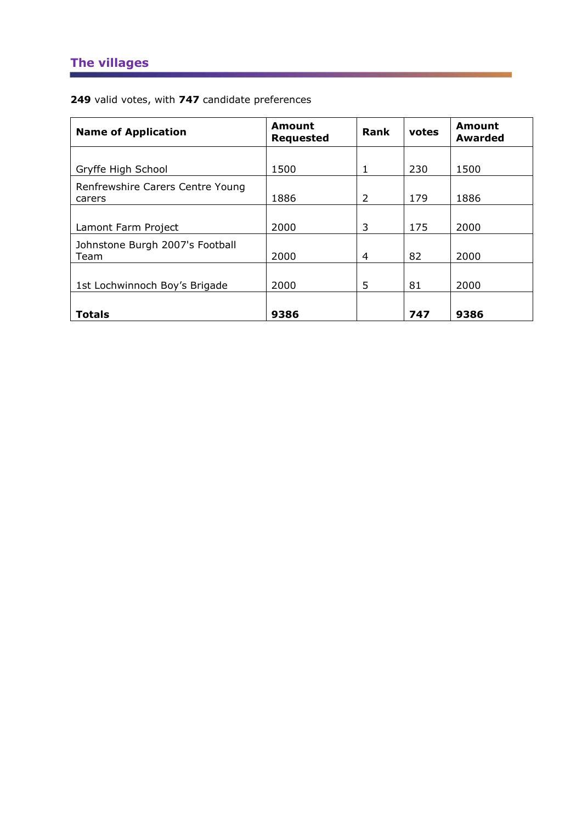# **The villages**

**249** valid votes, with **747** candidate preferences

| <b>Name of Application</b>                 | Amount<br><b>Requested</b> | Rank | votes | Amount<br><b>Awarded</b> |
|--------------------------------------------|----------------------------|------|-------|--------------------------|
|                                            |                            |      |       |                          |
| Gryffe High School                         | 1500                       | 1    | 230   | 1500                     |
| Renfrewshire Carers Centre Young<br>carers | 1886                       | 2    | 179   | 1886                     |
|                                            |                            |      |       |                          |
| Lamont Farm Project                        | 2000                       | 3    | 175   | 2000                     |
| Johnstone Burgh 2007's Football<br>Team    | 2000                       | 4    | 82    | 2000                     |
|                                            |                            |      |       |                          |
| 1st Lochwinnoch Boy's Brigade              | 2000                       | 5    | 81    | 2000                     |
|                                            |                            |      |       |                          |
| <b>Totals</b>                              | 9386                       |      | 747   | 9386                     |

<u> 1988 - Paris Andrewski, politik politik (</u>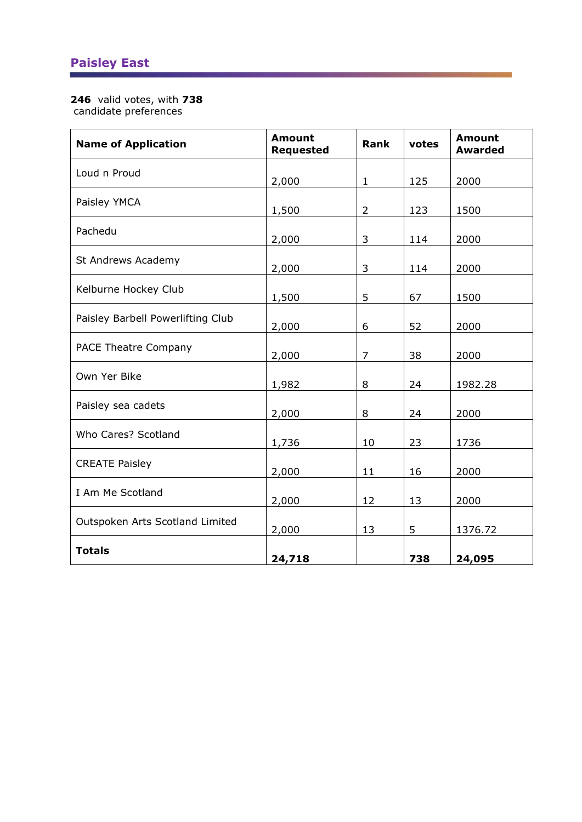# **Paisley East**

#### **246** valid votes, with **738**

candidate preferences

| <b>Name of Application</b>        | <b>Amount</b><br><b>Requested</b> | <b>Rank</b>    | votes | <b>Amount</b><br><b>Awarded</b> |
|-----------------------------------|-----------------------------------|----------------|-------|---------------------------------|
| Loud n Proud                      | 2,000                             | $\mathbf{1}$   | 125   | 2000                            |
| Paisley YMCA                      | 1,500                             | $\overline{2}$ | 123   | 1500                            |
| Pachedu                           | 2,000                             | 3              | 114   | 2000                            |
| St Andrews Academy                | 2,000                             | 3              | 114   | 2000                            |
| Kelburne Hockey Club              | 1,500                             | 5              | 67    | 1500                            |
| Paisley Barbell Powerlifting Club | 2,000                             | 6              | 52    | 2000                            |
| <b>PACE Theatre Company</b>       | 2,000                             | $\overline{7}$ | 38    | 2000                            |
| Own Yer Bike                      | 1,982                             | 8              | 24    | 1982.28                         |
| Paisley sea cadets                | 2,000                             | 8              | 24    | 2000                            |
| Who Cares? Scotland               | 1,736                             | 10             | 23    | 1736                            |
| <b>CREATE Paisley</b>             | 2,000                             | 11             | 16    | 2000                            |
| I Am Me Scotland                  | 2,000                             | 12             | 13    | 2000                            |
| Outspoken Arts Scotland Limited   | 2,000                             | 13             | 5     | 1376.72                         |
| <b>Totals</b>                     | 24,718                            |                | 738   | 24,095                          |

<u> San Amerikaansk politiker (</u>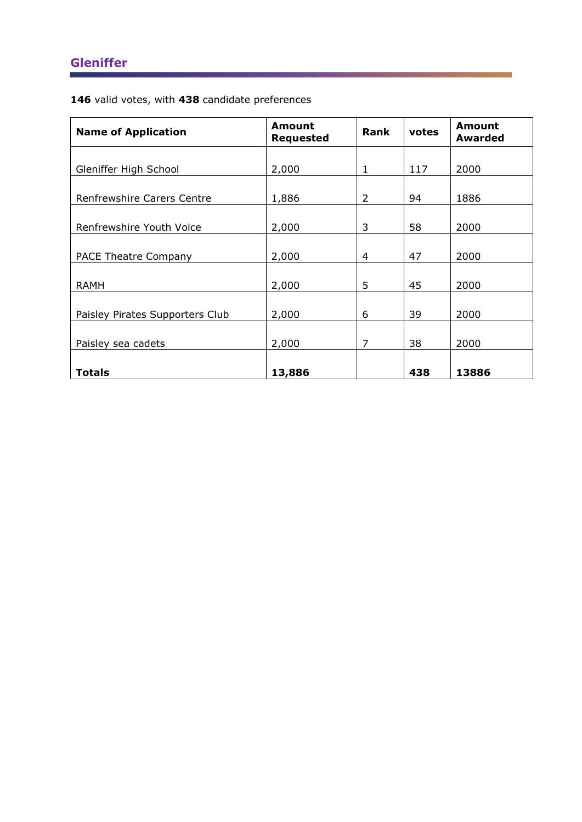# **Gleniffer**

**146** valid votes, with **438** candidate preferences

| <b>Name of Application</b>      | <b>Amount</b><br><b>Requested</b> | <b>Rank</b> | votes | Amount<br><b>Awarded</b> |
|---------------------------------|-----------------------------------|-------------|-------|--------------------------|
|                                 | 2,000                             | 1           | 117   | 2000                     |
| Gleniffer High School           |                                   |             |       |                          |
| Renfrewshire Carers Centre      | 1,886                             | 2           | 94    | 1886                     |
| Renfrewshire Youth Voice        | 2,000                             | 3           | 58    | 2000                     |
| <b>PACE Theatre Company</b>     | 2,000                             | 4           | 47    | 2000                     |
| <b>RAMH</b>                     | 2,000                             | 5           | 45    | 2000                     |
| Paisley Pirates Supporters Club | 2,000                             | 6           | 39    | 2000                     |
| Paisley sea cadets              | 2,000                             | 7           | 38    | 2000                     |
| <b>Totals</b>                   | 13,886                            |             | 438   | 13886                    |

<u> Alban Maria (</u>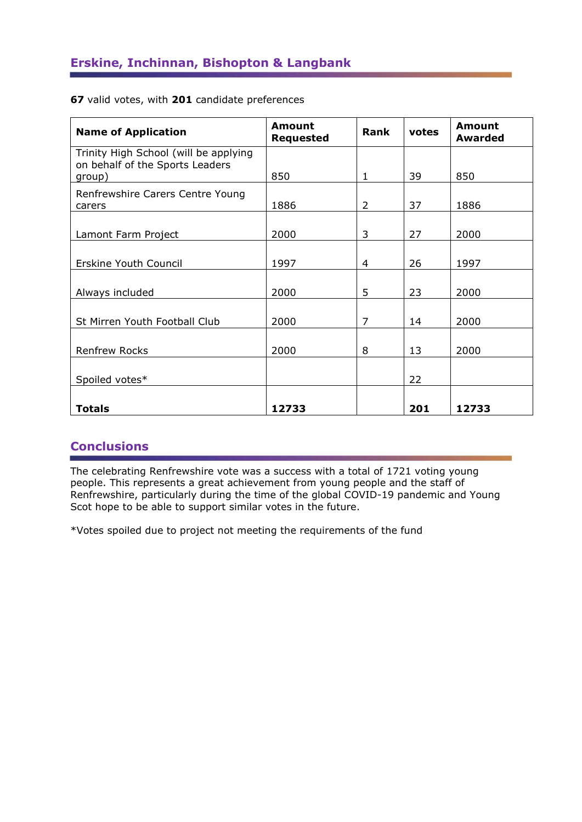| <b>Name of Application</b>                                                         | Amount<br><b>Requested</b> | Rank | votes | Amount<br><b>Awarded</b> |
|------------------------------------------------------------------------------------|----------------------------|------|-------|--------------------------|
| Trinity High School (will be applying<br>on behalf of the Sports Leaders<br>group) | 850                        | 1    | 39    | 850                      |
| Renfrewshire Carers Centre Young<br>carers                                         | 1886                       | 2    | 37    | 1886                     |
| Lamont Farm Project                                                                | 2000                       | 3    | 27    | 2000                     |
| Erskine Youth Council                                                              | 1997                       | 4    | 26    | 1997                     |
| Always included                                                                    | 2000                       | 5    | 23    | 2000                     |
| St Mirren Youth Football Club                                                      | 2000                       | 7    | 14    | 2000                     |
| <b>Renfrew Rocks</b>                                                               | 2000                       | 8    | 13    | 2000                     |
| Spoiled votes*                                                                     |                            |      | 22    |                          |
| <b>Totals</b>                                                                      | 12733                      |      | 201   | 12733                    |

**67** valid votes, with **201** candidate preferences

#### **Conclusions**

The celebrating Renfrewshire vote was a success with a total of 1721 voting young people. This represents a great achievement from young people and the staff of Renfrewshire, particularly during the time of the global COVID-19 pandemic and Young Scot hope to be able to support similar votes in the future.

\*Votes spoiled due to project not meeting the requirements of the fund